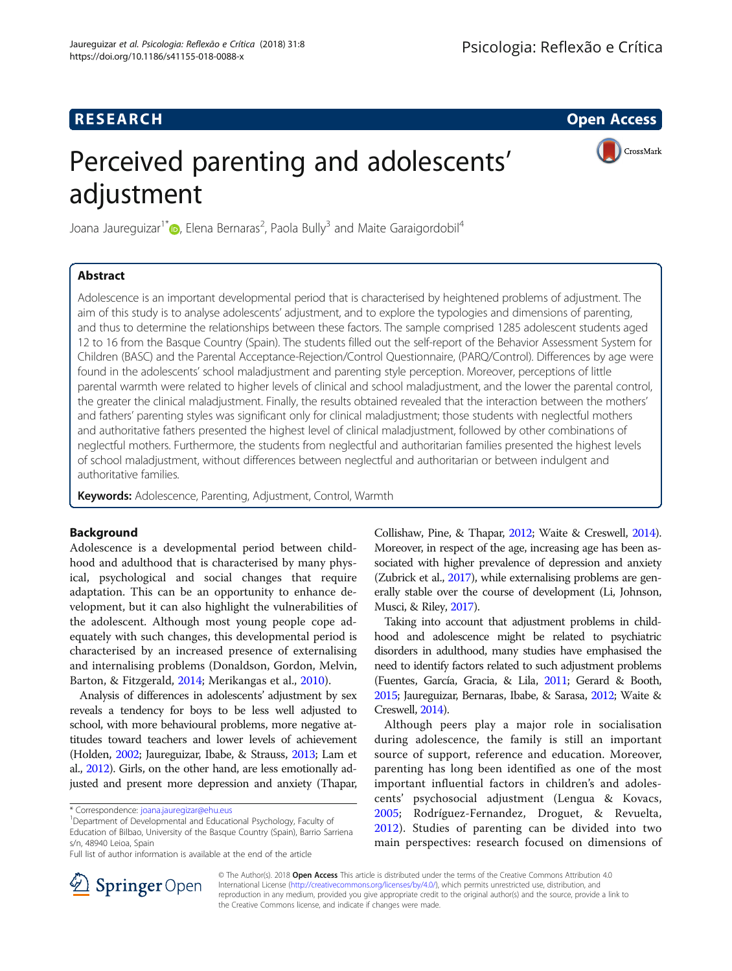# **RESEARCH CHE Open Access**

CrossMark

# Perceived parenting and adolescents' adjustment

Joana Jaureguizar<sup>1\*</sup> (**)**, Elena Bernaras<sup>2</sup>, Paola Bully<sup>3</sup> and Maite Garaigordobil<sup>4</sup>

# Abstract

Adolescence is an important developmental period that is characterised by heightened problems of adjustment. The aim of this study is to analyse adolescents' adjustment, and to explore the typologies and dimensions of parenting, and thus to determine the relationships between these factors. The sample comprised 1285 adolescent students aged 12 to 16 from the Basque Country (Spain). The students filled out the self-report of the Behavior Assessment System for Children (BASC) and the Parental Acceptance-Rejection/Control Questionnaire, (PARQ/Control). Differences by age were found in the adolescents' school maladjustment and parenting style perception. Moreover, perceptions of little parental warmth were related to higher levels of clinical and school maladjustment, and the lower the parental control, the greater the clinical maladjustment. Finally, the results obtained revealed that the interaction between the mothers' and fathers' parenting styles was significant only for clinical maladjustment; those students with neglectful mothers and authoritative fathers presented the highest level of clinical maladjustment, followed by other combinations of neglectful mothers. Furthermore, the students from neglectful and authoritarian families presented the highest levels of school maladjustment, without differences between neglectful and authoritarian or between indulgent and authoritative families.

Keywords: Adolescence, Parenting, Adjustment, Control, Warmth

# Background

Adolescence is a developmental period between childhood and adulthood that is characterised by many physical, psychological and social changes that require adaptation. This can be an opportunity to enhance development, but it can also highlight the vulnerabilities of the adolescent. Although most young people cope adequately with such changes, this developmental period is characterised by an increased presence of externalising and internalising problems (Donaldson, Gordon, Melvin, Barton, & Fitzgerald, [2014](#page-9-0); Merikangas et al., [2010](#page-9-0)).

Analysis of differences in adolescents' adjustment by sex reveals a tendency for boys to be less well adjusted to school, with more behavioural problems, more negative attitudes toward teachers and lower levels of achievement (Holden, [2002](#page-9-0); Jaureguizar, Ibabe, & Strauss, [2013;](#page-9-0) Lam et al., [2012](#page-9-0)). Girls, on the other hand, are less emotionally adjusted and present more depression and anxiety (Thapar, Collishaw, Pine, & Thapar, [2012](#page-10-0); Waite & Creswell, [2014](#page-10-0)). Moreover, in respect of the age, increasing age has been associated with higher prevalence of depression and anxiety (Zubrick et al., [2017](#page-10-0)), while externalising problems are generally stable over the course of development (Li, Johnson, Musci, & Riley, [2017\)](#page-9-0).

Taking into account that adjustment problems in childhood and adolescence might be related to psychiatric disorders in adulthood, many studies have emphasised the need to identify factors related to such adjustment problems (Fuentes, García, Gracia, & Lila, [2011;](#page-9-0) Gerard & Booth, [2015](#page-9-0); Jaureguizar, Bernaras, Ibabe, & Sarasa, [2012;](#page-9-0) Waite & Creswell, [2014\)](#page-10-0).

Although peers play a major role in socialisation during adolescence, the family is still an important source of support, reference and education. Moreover, parenting has long been identified as one of the most important influential factors in children's and adolescents' psychosocial adjustment (Lengua & Kovacs, [2005;](#page-9-0) Rodríguez-Fernandez, Droguet, & Revuelta, [2012\)](#page-10-0). Studies of parenting can be divided into two main perspectives: research focused on dimensions of



© The Author(s). 2018 Open Access This article is distributed under the terms of the Creative Commons Attribution 4.0 International License ([http://creativecommons.org/licenses/by/4.0/\)](http://creativecommons.org/licenses/by/4.0/), which permits unrestricted use, distribution, and reproduction in any medium, provided you give appropriate credit to the original author(s) and the source, provide a link to the Creative Commons license, and indicate if changes were made.

<sup>\*</sup> Correspondence: [joana.jauregizar@ehu.eus](mailto:joana.jauregizar@ehu.eus) <sup>1</sup>

<sup>&</sup>lt;sup>1</sup>Department of Developmental and Educational Psychology, Faculty of Education of Bilbao, University of the Basque Country (Spain), Barrio Sarriena s/n, 48940 Leioa, Spain

Full list of author information is available at the end of the article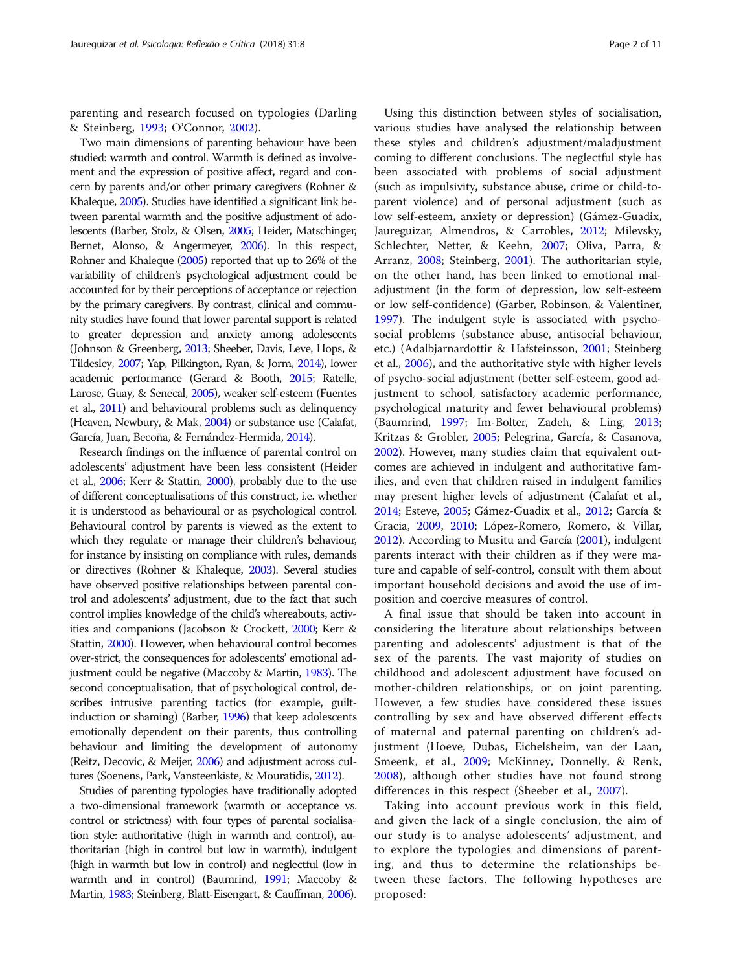parenting and research focused on typologies (Darling & Steinberg, [1993;](#page-9-0) O'Connor, [2002\)](#page-10-0).

Two main dimensions of parenting behaviour have been studied: warmth and control. Warmth is defined as involvement and the expression of positive affect, regard and concern by parents and/or other primary caregivers (Rohner & Khaleque, [2005\)](#page-10-0). Studies have identified a significant link between parental warmth and the positive adjustment of adolescents (Barber, Stolz, & Olsen, [2005;](#page-9-0) Heider, Matschinger, Bernet, Alonso, & Angermeyer, [2006](#page-9-0)). In this respect, Rohner and Khaleque [\(2005\)](#page-10-0) reported that up to 26% of the variability of children's psychological adjustment could be accounted for by their perceptions of acceptance or rejection by the primary caregivers. By contrast, clinical and community studies have found that lower parental support is related to greater depression and anxiety among adolescents (Johnson & Greenberg, [2013](#page-9-0); Sheeber, Davis, Leve, Hops, & Tildesley, [2007;](#page-10-0) Yap, Pilkington, Ryan, & Jorm, [2014\)](#page-10-0), lower academic performance (Gerard & Booth, [2015](#page-9-0); Ratelle, Larose, Guay, & Senecal, [2005](#page-10-0)), weaker self-esteem (Fuentes et al., [2011\)](#page-9-0) and behavioural problems such as delinquency (Heaven, Newbury, & Mak, [2004](#page-9-0)) or substance use (Calafat, García, Juan, Becoña, & Fernández-Hermida, [2014\)](#page-9-0).

Research findings on the influence of parental control on adolescents' adjustment have been less consistent (Heider et al., [2006](#page-9-0); Kerr & Stattin, [2000\)](#page-9-0), probably due to the use of different conceptualisations of this construct, i.e. whether it is understood as behavioural or as psychological control. Behavioural control by parents is viewed as the extent to which they regulate or manage their children's behaviour, for instance by insisting on compliance with rules, demands or directives (Rohner & Khaleque, [2003](#page-10-0)). Several studies have observed positive relationships between parental control and adolescents' adjustment, due to the fact that such control implies knowledge of the child's whereabouts, activities and companions (Jacobson & Crockett, [2000;](#page-9-0) Kerr & Stattin, [2000\)](#page-9-0). However, when behavioural control becomes over-strict, the consequences for adolescents' emotional adjustment could be negative (Maccoby & Martin, [1983](#page-9-0)). The second conceptualisation, that of psychological control, describes intrusive parenting tactics (for example, guiltinduction or shaming) (Barber, [1996](#page-9-0)) that keep adolescents emotionally dependent on their parents, thus controlling behaviour and limiting the development of autonomy (Reitz, Decovic, & Meijer, [2006\)](#page-10-0) and adjustment across cultures (Soenens, Park, Vansteenkiste, & Mouratidis, [2012](#page-10-0)).

Studies of parenting typologies have traditionally adopted a two-dimensional framework (warmth or acceptance vs. control or strictness) with four types of parental socialisation style: authoritative (high in warmth and control), authoritarian (high in control but low in warmth), indulgent (high in warmth but low in control) and neglectful (low in warmth and in control) (Baumrind, [1991;](#page-9-0) Maccoby & Martin, [1983;](#page-9-0) Steinberg, Blatt-Eisengart, & Cauffman, [2006](#page-10-0)).

Using this distinction between styles of socialisation, various studies have analysed the relationship between these styles and children's adjustment/maladjustment coming to different conclusions. The neglectful style has been associated with problems of social adjustment (such as impulsivity, substance abuse, crime or child-toparent violence) and of personal adjustment (such as low self-esteem, anxiety or depression) (Gámez-Guadix, Jaureguizar, Almendros, & Carrobles, [2012;](#page-9-0) Milevsky, Schlechter, Netter, & Keehn, [2007](#page-10-0); Oliva, Parra, & Arranz, [2008](#page-10-0); Steinberg, [2001\)](#page-10-0). The authoritarian style, on the other hand, has been linked to emotional maladjustment (in the form of depression, low self-esteem or low self-confidence) (Garber, Robinson, & Valentiner, [1997](#page-9-0)). The indulgent style is associated with psychosocial problems (substance abuse, antisocial behaviour, etc.) (Adalbjarnardottir & Hafsteinsson, [2001;](#page-9-0) Steinberg et al., [2006\)](#page-10-0), and the authoritative style with higher levels of psycho-social adjustment (better self-esteem, good adjustment to school, satisfactory academic performance, psychological maturity and fewer behavioural problems) (Baumrind, [1997](#page-9-0); Im-Bolter, Zadeh, & Ling, [2013](#page-9-0); Kritzas & Grobler, [2005](#page-9-0); Pelegrina, García, & Casanova, [2002](#page-10-0)). However, many studies claim that equivalent outcomes are achieved in indulgent and authoritative families, and even that children raised in indulgent families may present higher levels of adjustment (Calafat et al., [2014](#page-9-0); Esteve, [2005;](#page-9-0) Gámez-Guadix et al., [2012](#page-9-0); García & Gracia, [2009,](#page-9-0) [2010](#page-9-0); López-Romero, Romero, & Villar, [2012](#page-9-0)). According to Musitu and García ([2001\)](#page-10-0), indulgent parents interact with their children as if they were mature and capable of self-control, consult with them about important household decisions and avoid the use of imposition and coercive measures of control.

A final issue that should be taken into account in considering the literature about relationships between parenting and adolescents' adjustment is that of the sex of the parents. The vast majority of studies on childhood and adolescent adjustment have focused on mother-children relationships, or on joint parenting. However, a few studies have considered these issues controlling by sex and have observed different effects of maternal and paternal parenting on children's adjustment (Hoeve, Dubas, Eichelsheim, van der Laan, Smeenk, et al., [2009;](#page-9-0) McKinney, Donnelly, & Renk, [2008\)](#page-9-0), although other studies have not found strong differences in this respect (Sheeber et al., [2007\)](#page-10-0).

Taking into account previous work in this field, and given the lack of a single conclusion, the aim of our study is to analyse adolescents' adjustment, and to explore the typologies and dimensions of parenting, and thus to determine the relationships between these factors. The following hypotheses are proposed: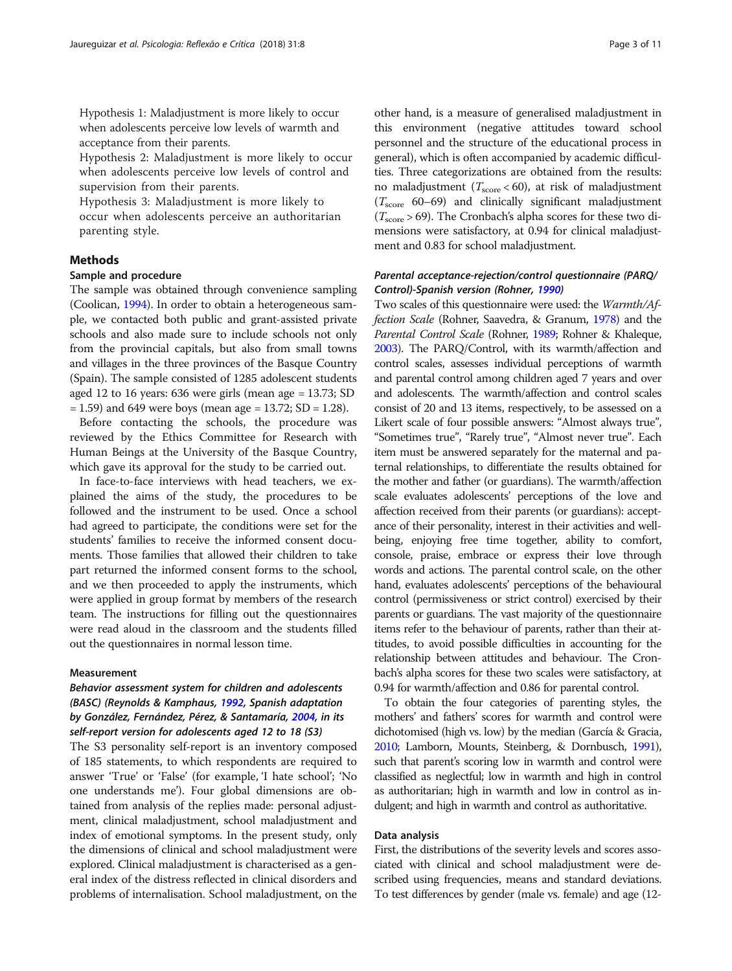Hypothesis 1: Maladjustment is more likely to occur when adolescents perceive low levels of warmth and acceptance from their parents.

Hypothesis 2: Maladjustment is more likely to occur when adolescents perceive low levels of control and supervision from their parents.

Hypothesis 3: Maladjustment is more likely to occur when adolescents perceive an authoritarian parenting style.

# Methods

# Sample and procedure

The sample was obtained through convenience sampling (Coolican, [1994\)](#page-9-0). In order to obtain a heterogeneous sample, we contacted both public and grant-assisted private schools and also made sure to include schools not only from the provincial capitals, but also from small towns and villages in the three provinces of the Basque Country (Spain). The sample consisted of 1285 adolescent students aged 12 to 16 years: 636 were girls (mean age = 13.73; SD  $= 1.59$ ) and 649 were boys (mean age  $= 13.72$ ; SD  $= 1.28$ ).

Before contacting the schools, the procedure was reviewed by the Ethics Committee for Research with Human Beings at the University of the Basque Country, which gave its approval for the study to be carried out.

In face-to-face interviews with head teachers, we explained the aims of the study, the procedures to be followed and the instrument to be used. Once a school had agreed to participate, the conditions were set for the students' families to receive the informed consent documents. Those families that allowed their children to take part returned the informed consent forms to the school, and we then proceeded to apply the instruments, which were applied in group format by members of the research team. The instructions for filling out the questionnaires were read aloud in the classroom and the students filled out the questionnaires in normal lesson time.

#### Measurement

# Behavior assessment system for children and adolescents (BASC) (Reynolds & Kamphaus, [1992](#page-10-0), Spanish adaptation by González, Fernández, Pérez, & Santamaría, [2004](#page-9-0), in its self-report version for adolescents aged 12 to 18 (S3)

The S3 personality self-report is an inventory composed of 185 statements, to which respondents are required to answer 'True' or 'False' (for example, 'I hate school'; 'No one understands me'). Four global dimensions are obtained from analysis of the replies made: personal adjustment, clinical maladjustment, school maladjustment and index of emotional symptoms. In the present study, only the dimensions of clinical and school maladjustment were explored. Clinical maladjustment is characterised as a general index of the distress reflected in clinical disorders and problems of internalisation. School maladjustment, on the

other hand, is a measure of generalised maladjustment in this environment (negative attitudes toward school personnel and the structure of the educational process in general), which is often accompanied by academic difficulties. Three categorizations are obtained from the results: no maladjustment ( $T_{\text{score}}$  < 60), at risk of maladjustment  $(T_{\text{score}} 60-69)$  and clinically significant maladjustment  $(T_{\text{score}} > 69)$ . The Cronbach's alpha scores for these two dimensions were satisfactory, at 0.94 for clinical maladjustment and 0.83 for school maladjustment.

# Parental acceptance-rejection/control questionnaire (PARQ/ Control)-Spanish version (Rohner, [1990](#page-10-0))

Two scales of this questionnaire were used: the Warmth/Affection Scale (Rohner, Saavedra, & Granum, [1978](#page-10-0)) and the Parental Control Scale (Rohner, [1989](#page-10-0); Rohner & Khaleque, [2003](#page-10-0)). The PARQ/Control, with its warmth/affection and control scales, assesses individual perceptions of warmth and parental control among children aged 7 years and over and adolescents. The warmth/affection and control scales consist of 20 and 13 items, respectively, to be assessed on a Likert scale of four possible answers: "Almost always true", "Sometimes true", "Rarely true", "Almost never true". Each item must be answered separately for the maternal and paternal relationships, to differentiate the results obtained for the mother and father (or guardians). The warmth/affection scale evaluates adolescents' perceptions of the love and affection received from their parents (or guardians): acceptance of their personality, interest in their activities and wellbeing, enjoying free time together, ability to comfort, console, praise, embrace or express their love through words and actions. The parental control scale, on the other hand, evaluates adolescents' perceptions of the behavioural control (permissiveness or strict control) exercised by their parents or guardians. The vast majority of the questionnaire items refer to the behaviour of parents, rather than their attitudes, to avoid possible difficulties in accounting for the relationship between attitudes and behaviour. The Cronbach's alpha scores for these two scales were satisfactory, at 0.94 for warmth/affection and 0.86 for parental control.

To obtain the four categories of parenting styles, the mothers' and fathers' scores for warmth and control were dichotomised (high vs. low) by the median (García & Gracia, [2010](#page-9-0); Lamborn, Mounts, Steinberg, & Dornbusch, [1991](#page-9-0)), such that parent's scoring low in warmth and control were classified as neglectful; low in warmth and high in control as authoritarian; high in warmth and low in control as indulgent; and high in warmth and control as authoritative.

#### Data analysis

First, the distributions of the severity levels and scores associated with clinical and school maladjustment were described using frequencies, means and standard deviations. To test differences by gender (male vs. female) and age (12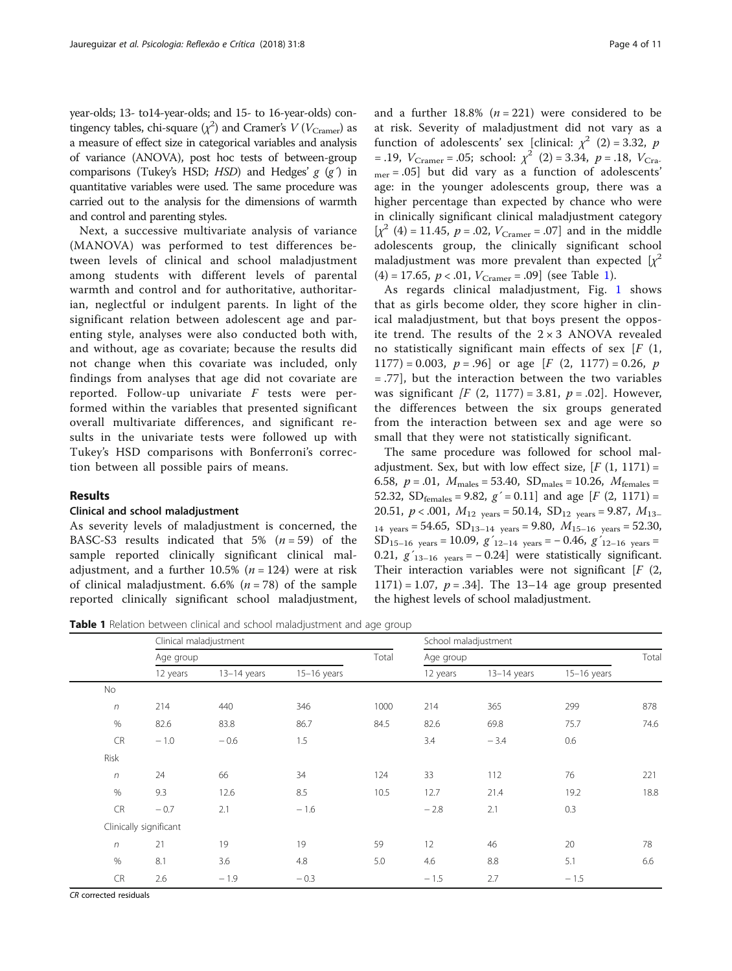year-olds; 13- to14-year-olds; and 15- to 16-year-olds) contingency tables, chi-square  $(\chi^2)$  and Cramer's  $V(V_{\text{Cramer}})$  as a measure of effect size in categorical variables and analysis of variance (ANOVA), post hoc tests of between-group comparisons (Tukey's HSD;  $HSD$ ) and Hedges'  $g$  ( $g$ ) in quantitative variables were used. The same procedure was carried out to the analysis for the dimensions of warmth and control and parenting styles.

Next, a successive multivariate analysis of variance (MANOVA) was performed to test differences between levels of clinical and school maladjustment among students with different levels of parental warmth and control and for authoritative, authoritarian, neglectful or indulgent parents. In light of the significant relation between adolescent age and parenting style, analyses were also conducted both with, and without, age as covariate; because the results did not change when this covariate was included, only findings from analyses that age did not covariate are reported. Follow-up univariate F tests were performed within the variables that presented significant overall multivariate differences, and significant results in the univariate tests were followed up with Tukey's HSD comparisons with Bonferroni's correction between all possible pairs of means.

# Results

# Clinical and school maladjustment

As severity levels of maladjustment is concerned, the BASC-S3 results indicated that  $5\%$   $(n = 59)$  of the sample reported clinically significant clinical maladjustment, and a further 10.5% ( $n = 124$ ) were at risk of clinical maladjustment.  $6.6\%$  ( $n = 78$ ) of the sample reported clinically significant school maladjustment, and a further  $18.8\%$  ( $n = 221$ ) were considered to be at risk. Severity of maladjustment did not vary as a function of adolescents' sex [clinical:  $\chi^2$  (2) = 3.32, p = .19,  $V_{Cramer}$  = .05; school:  $\chi^2$  (2) = 3.34, p = .18,  $V_{Cra}$ .  $_{mer} = .05$ ] but did vary as a function of adolescents' age: in the younger adolescents group, there was a higher percentage than expected by chance who were in clinically significant clinical maladjustment category  $[\chi^2 (4) = 11.45, p = .02, V_{Cramer} = .07]$  and in the middle adolescents group, the clinically significant school maladjustment was more prevalent than expected  $[x^2]$  $(4) = 17.65$ ,  $p < .01$ ,  $V_{Cramer} = .09$  (see Table 1).

As regards clinical maladjustment, Fig. [1](#page-4-0) shows that as girls become older, they score higher in clinical maladjustment, but that boys present the opposite trend. The results of the  $2 \times 3$  ANOVA revealed no statistically significant main effects of sex  $[F(1,$  $1177$ ) = 0.003,  $p = .96$ ] or age [F (2, 1177) = 0.26, p = .77], but the interaction between the two variables was significant  $\int F(2, 1177) = 3.81$ ,  $p = .02$ . However, the differences between the six groups generated from the interaction between sex and age were so small that they were not statistically significant.

The same procedure was followed for school maladjustment. Sex, but with low effect size,  $[F(1, 1171) =$ 6.58,  $p = .01$ ,  $M_{\text{males}} = 53.40$ ,  $SD_{\text{males}} = 10.26$ ,  $M_{\text{females}} =$ 52.32, SD<sub>females</sub> = 9.82,  $g'$  = 0.11] and age [F (2, 1171) = 20.51,  $p < .001$ ,  $M_{12 \text{ years}} = 50.14$ ,  $SD_{12 \text{ years}} = 9.87$ ,  $M_{13-}$  $_{14}$  years = 54.65, SD<sub>13–14</sub> years = 9.80,  $M_{15-16}$  years = 52.30, SD<sub>15–16</sub> years = 10.09,  $g'_{12-14}$  years = -0.46,  $g'_{12-16}$  years = 0.21,  $g'_{13-16}$  years = -0.24] were statistically significant. Their interaction variables were not significant  $[F (2, 1)]$ 1171) = 1.07,  $p = .34$ . The 13-14 age group presented the highest levels of school maladjustment.

Table 1 Relation between clinical and school maladjustment and age group

|            | Clinical maladjustment |               |               |       | School maladjustment |               |               |       |
|------------|------------------------|---------------|---------------|-------|----------------------|---------------|---------------|-------|
|            | Age group              |               |               | Total | Age group            |               |               | Total |
|            | 12 years               | $13-14$ years | $15-16$ years |       | 12 years             | $13-14$ years | $15-16$ years |       |
| No         |                        |               |               |       |                      |               |               |       |
| $\sqrt{n}$ | 214                    | 440           | 346           | 1000  | 214                  | 365           | 299           | 878   |
| $\%$       | 82.6                   | 83.8          | 86.7          | 84.5  | 82.6                 | 69.8          | 75.7          | 74.6  |
| <b>CR</b>  | $-1.0$                 | $-0.6$        | 1.5           |       | 3.4                  | $-3.4$        | 0.6           |       |
| Risk       |                        |               |               |       |                      |               |               |       |
| $\sqrt{n}$ | 24                     | 66            | 34            | 124   | 33                   | 112           | 76            | 221   |
| $\%$       | 9.3                    | 12.6          | 8.5           | 10.5  | 12.7                 | 21.4          | 19.2          | 18.8  |
| <b>CR</b>  | $-0.7$                 | 2.1           | $-1.6$        |       | $-2.8$               | 2.1           | 0.3           |       |
|            | Clinically significant |               |               |       |                      |               |               |       |
| $\sqrt{n}$ | 21                     | 19            | 19            | 59    | 12                   | 46            | 20            | 78    |
| $\%$       | 8.1                    | 3.6           | 4.8           | 5.0   | 4.6                  | 8.8           | 5.1           | 6.6   |
| <b>CR</b>  | 2.6                    | $-1.9$        | $-0.3$        |       | $-1.5$               | 2.7           | $-1.5$        |       |

CR corrected residuals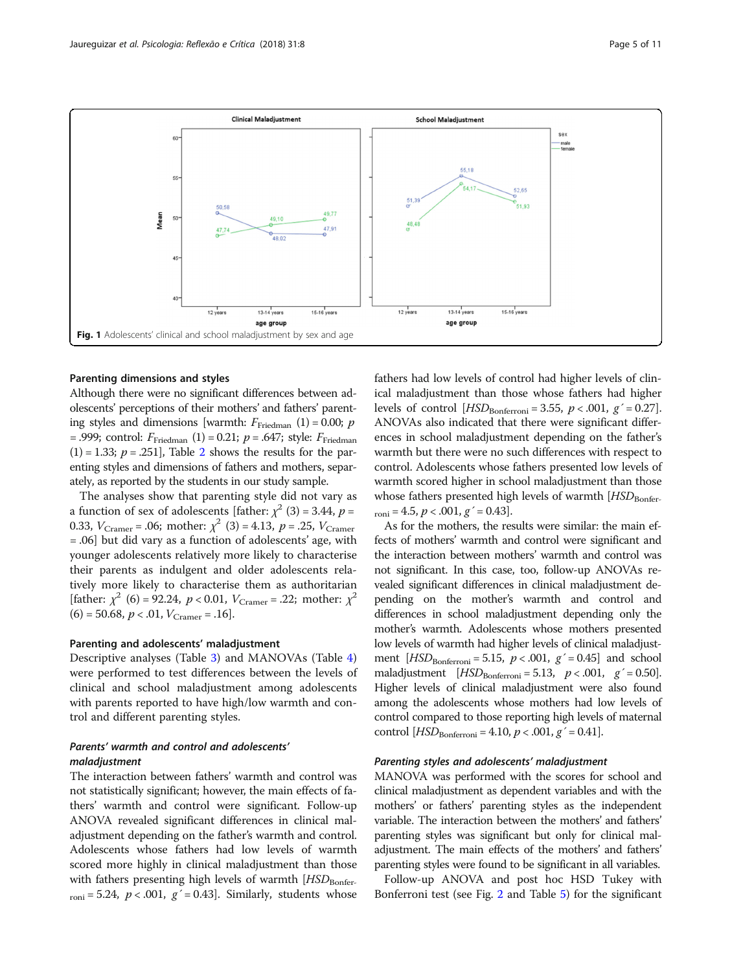<span id="page-4-0"></span>

#### Parenting dimensions and styles

Although there were no significant differences between adolescents' perceptions of their mothers' and fathers' parenting styles and dimensions [warmth:  $F_{\text{Friedman}}(1) = 0.00; p$ = .999; control:  $F_{\text{Friedman}}(1)$  = 0.21;  $p$  = .647; style:  $F_{\text{Friedman}}$  $(1) = 1.33$ ;  $p = .251$  $p = .251$  $p = .251$ , Table 2 shows the results for the parenting styles and dimensions of fathers and mothers, separately, as reported by the students in our study sample.

The analyses show that parenting style did not vary as a function of sex of adolescents [father:  $\chi^2$  (3) = 3.44, p = 0.33,  $V_{Cramer} = .06$ ; mother:  $\chi^2$  (3) = 4.13, p = .25,  $V_{Cramer}$ = .06] but did vary as a function of adolescents' age, with younger adolescents relatively more likely to characterise their parents as indulgent and older adolescents relatively more likely to characterise them as authoritarian [father:  $\chi^2$  (6) = 92.24,  $p < 0.01$ ,  $V_{Cramer} = .22$ ; mother:  $\chi^2$  $(6) = 50.68, p < .01, V<sub>Cramer</sub> = .16$ .

#### Parenting and adolescents' maladjustment

Descriptive analyses (Table [3](#page-6-0)) and MANOVAs (Table [4](#page-6-0)) were performed to test differences between the levels of clinical and school maladjustment among adolescents with parents reported to have high/low warmth and control and different parenting styles.

# Parents' warmth and control and adolescents' maladjustment

The interaction between fathers' warmth and control was not statistically significant; however, the main effects of fathers' warmth and control were significant. Follow-up ANOVA revealed significant differences in clinical maladjustment depending on the father's warmth and control. Adolescents whose fathers had low levels of warmth scored more highly in clinical maladjustment than those with fathers presenting high levels of warmth  $[HSD<sub>Bonfer</sub>]$  $_{\rm roni}$  = 5.24,  $p < .001$ ,  $g' = 0.43$ ]. Similarly, students whose

fathers had low levels of control had higher levels of clinical maladjustment than those whose fathers had higher levels of control  $[HSD_{\text{Bonferroni}} = 3.55, p < .001, g' = 0.27]$ . ANOVAs also indicated that there were significant differences in school maladjustment depending on the father's warmth but there were no such differences with respect to control. Adolescents whose fathers presented low levels of warmth scored higher in school maladjustment than those whose fathers presented high levels of warmth  $[HSD_{\text{Bonfer-}}]$  $_{\rm{roni}} = 4.5, p < .001, g' = 0.43$ .

As for the mothers, the results were similar: the main effects of mothers' warmth and control were significant and the interaction between mothers' warmth and control was not significant. In this case, too, follow-up ANOVAs revealed significant differences in clinical maladjustment depending on the mother's warmth and control and differences in school maladjustment depending only the mother's warmth. Adolescents whose mothers presented low levels of warmth had higher levels of clinical maladjustment  $[HSD_{\text{Bonferroni}} = 5.15, p < .001, g' = 0.45]$  and school maladjustment  $[HSD_{\text{Bonferroni}} = 5.13, p < .001, g' = 0.50].$ Higher levels of clinical maladjustment were also found among the adolescents whose mothers had low levels of control compared to those reporting high levels of maternal control  $[HSD_{\text{Bonferroni}} = 4.10, p < .001, g' = 0.41].$ 

# Parenting styles and adolescents' maladjustment

MANOVA was performed with the scores for school and clinical maladjustment as dependent variables and with the mothers' or fathers' parenting styles as the independent variable. The interaction between the mothers' and fathers' parenting styles was significant but only for clinical maladjustment. The main effects of the mothers' and fathers' parenting styles were found to be significant in all variables.

Follow-up ANOVA and post hoc HSD Tukey with Bonferroni test (see Fig. [2](#page-7-0) and Table [5\)](#page-7-0) for the significant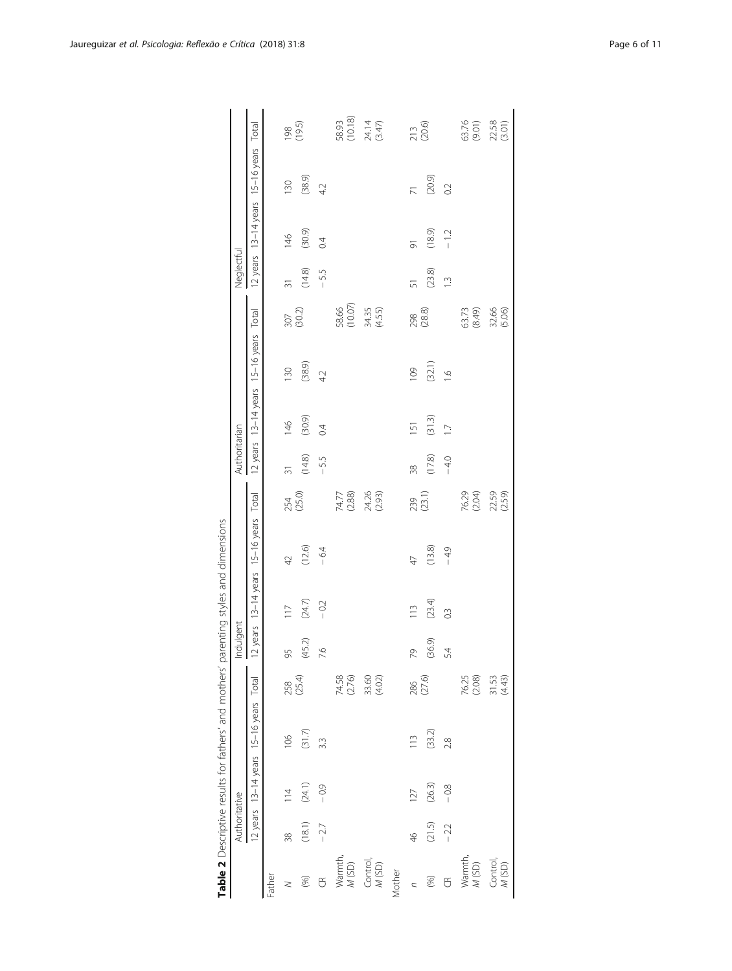<span id="page-5-0"></span>

|                                                                   |               | Table 2 Descriptive results for fathers' and mothers' parenting styles and dimensions |        |                   |                                       |                  |                                        |                 |               |                   |                                        |                  |                 |                                        |                |                                     |
|-------------------------------------------------------------------|---------------|---------------------------------------------------------------------------------------|--------|-------------------|---------------------------------------|------------------|----------------------------------------|-----------------|---------------|-------------------|----------------------------------------|------------------|-----------------|----------------------------------------|----------------|-------------------------------------|
|                                                                   | Authoritative |                                                                                       |        |                   | Indulgent<br>$\overline{\phantom{a}}$ |                  |                                        |                 | Authoritarian |                   |                                        |                  | Neglectful      |                                        |                |                                     |
|                                                                   |               | 12 years 13-14 years 15-16 years Total                                                |        |                   |                                       |                  | 12 years 13-14 years 15-16 years Total |                 |               |                   | 12 years 13-14 years 15-16 years Total |                  |                 | 12 years 13-14 years 15-16 years Total |                |                                     |
| Father                                                            |               |                                                                                       |        |                   |                                       |                  |                                        |                 |               |                   |                                        |                  |                 |                                        |                |                                     |
| $\geq$                                                            | 38            | $\frac{4}{11}$                                                                        | 106    | 258<br>(25.4)     | 95                                    | 117              | 42                                     | 254<br>(25.0)   | $\frac{1}{3}$ | 146               | 130                                    | 307<br>(30.2)    | $\overline{31}$ | $\frac{46}{5}$                         | 130            | 198                                 |
| $(96)$                                                            | (18.1)        | (24.1)                                                                                | (31.7) |                   | (45.2)                                | $(24.7)$         | (12.6)                                 |                 | (14.8)        | (30.9)            | (38.9)                                 |                  | (14.8)          | (30.9)                                 | (38.9)         | (19.5)                              |
| $\mathfrak{S}$                                                    | $-2.7$        | $-0.9$                                                                                | 3.3    |                   | 7.6                                   | $-0.2$           | $-6.4$                                 |                 | $-5.5$        | $\ddot{\theta}$   | 4.2                                    |                  | $-55$           | $\overline{C}$                         | 4.2            |                                     |
| Warmth,<br>M (SD)                                                 |               |                                                                                       |        | 74.58<br>(2.76)   |                                       |                  |                                        | 74.77<br>(2.88) |               |                   |                                        | 58.66<br>(10.07) |                 |                                        |                |                                     |
| $\begin{array}{l} \text{Control,} \\ \text{$M$ (SD)} \end{array}$ |               |                                                                                       |        | 33.60<br>(4.02)   |                                       |                  |                                        | 24.26<br>(2.93) |               |                   |                                        | 34.35<br>(4.55)  |                 |                                        |                | 58.93<br>(10.18)<br>24.14<br>(3.47) |
| Mother                                                            |               |                                                                                       |        |                   |                                       |                  |                                        |                 |               |                   |                                        |                  |                 |                                        |                |                                     |
| $\overline{z}$                                                    | $\frac{4}{6}$ | 127                                                                                   | 113    | 286<br>(27.6)     | 79                                    | 113              | 47                                     | 239<br>(23.1)   | 38            | 151               | 109                                    | 298<br>(28.8)    | 51              | 5                                      | $\overline{7}$ | 213<br>(20.6)                       |
| (%)                                                               | (21.5)        | (26.3)                                                                                | (33.2) |                   | (36.9)                                | (23.4)           | (13.8)                                 |                 | (17.8)        | (31.3)            | (32.1)                                 |                  | (23.8)          | (18.9)                                 | (20.9)         |                                     |
| $\widetilde{\mathbb{G}}$                                          | $-22$         | $-0.8$                                                                                | 2.8    |                   | 5.4                                   | $0.\overline{3}$ | $-49$                                  |                 | $-4.0$        | $\overline{\Box}$ | $\overline{a}$                         |                  | $\tilde{=}$     | $-12$                                  | 0.2            |                                     |
| Warmth,<br>M (SD)                                                 |               |                                                                                       |        | 76.25<br>(2.08)   |                                       |                  |                                        | 76.29<br>(2.04) |               |                   |                                        | 63.73<br>(8.49)  |                 |                                        |                | 63.76<br>(9.01)                     |
| Control,<br>M(SD)                                                 |               |                                                                                       |        | $31.53$<br>(4.43) |                                       |                  |                                        | 22.59           |               |                   |                                        | 32.66<br>(5.06)  |                 |                                        |                | 22.58                               |
|                                                                   |               |                                                                                       |        |                   |                                       |                  |                                        |                 |               |                   |                                        |                  |                 |                                        |                |                                     |

| J                                                                                     |
|---------------------------------------------------------------------------------------|
|                                                                                       |
|                                                                                       |
| 5                                                                                     |
|                                                                                       |
|                                                                                       |
|                                                                                       |
| ĺ                                                                                     |
| $\frac{1}{2}$<br>$\mathbf{r}$                                                         |
|                                                                                       |
|                                                                                       |
|                                                                                       |
|                                                                                       |
| ׇ֚֬֓֡                                                                                 |
|                                                                                       |
|                                                                                       |
|                                                                                       |
|                                                                                       |
|                                                                                       |
|                                                                                       |
|                                                                                       |
|                                                                                       |
| $\frac{1}{2}$                                                                         |
|                                                                                       |
|                                                                                       |
| ì                                                                                     |
|                                                                                       |
|                                                                                       |
|                                                                                       |
|                                                                                       |
|                                                                                       |
|                                                                                       |
|                                                                                       |
|                                                                                       |
|                                                                                       |
|                                                                                       |
|                                                                                       |
|                                                                                       |
|                                                                                       |
|                                                                                       |
|                                                                                       |
|                                                                                       |
| )<br>ג                                                                                |
|                                                                                       |
|                                                                                       |
|                                                                                       |
| ことのことにて てんら こうごうせん てんこうせん こうこうしょう こうこうしょう こうこうしょう こうしょう こうしょう こうしょう こうしょう こうしょう こうしょう |
| ֚֚֬                                                                                   |
|                                                                                       |
|                                                                                       |
|                                                                                       |
|                                                                                       |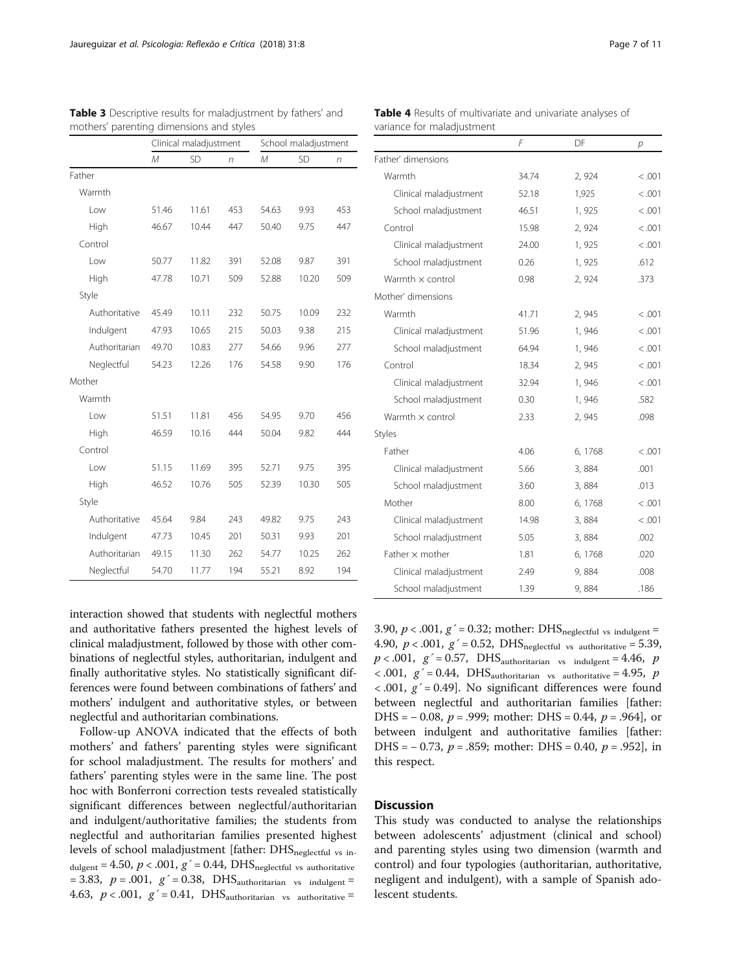|               |       | Clinical maladjustment |     |       | School maladjustment |     |
|---------------|-------|------------------------|-----|-------|----------------------|-----|
|               | M     | <b>SD</b>              | n   | M     | SD                   | n   |
| Father        |       |                        |     |       |                      |     |
| Warmth        |       |                        |     |       |                      |     |
| Low           | 51.46 | 11.61                  | 453 | 54.63 | 9.93                 | 453 |
| High          | 46.67 | 10.44                  | 447 | 50.40 | 9.75                 | 447 |
| Control       |       |                        |     |       |                      |     |
| Low           | 50.77 | 11.82                  | 391 | 52.08 | 9.87                 | 391 |
| High          | 47.78 | 10.71                  | 509 | 52.88 | 10.20                | 509 |
| Style         |       |                        |     |       |                      |     |
| Authoritative | 45.49 | 10.11                  | 232 | 50.75 | 10.09                | 232 |
| Indulgent     | 47.93 | 10.65                  | 215 | 50.03 | 9.38                 | 215 |
| Authoritarian | 49.70 | 10.83                  | 277 | 54.66 | 9.96                 | 277 |
| Neglectful    | 54.23 | 12.26                  | 176 | 54.58 | 9.90                 | 176 |
| Mother        |       |                        |     |       |                      |     |
| Warmth        |       |                        |     |       |                      |     |
| Low           | 51.51 | 11.81                  | 456 | 54.95 | 9.70                 | 456 |
| High          | 46.59 | 10.16                  | 444 | 50.04 | 9.82                 | 444 |
| Control       |       |                        |     |       |                      |     |
| Low           | 51.15 | 11.69                  | 395 | 52.71 | 9.75                 | 395 |
| High          | 46.52 | 10.76                  | 505 | 52.39 | 10.30                | 505 |
| Style         |       |                        |     |       |                      |     |
| Authoritative | 45.64 | 9.84                   | 243 | 49.82 | 9.75                 | 243 |
| Indulgent     | 47.73 | 10.45                  | 201 | 50.31 | 9.93                 | 201 |
| Authoritarian | 49.15 | 11.30                  | 262 | 54.77 | 10.25                | 262 |
| Neglectful    | 54.70 | 11.77                  | 194 | 55.21 | 8.92                 | 194 |

<span id="page-6-0"></span>Table 3 Descriptive results for maladjustment by fathers' and mothers' parenting dimensions and styles

interaction showed that students with neglectful mothers and authoritative fathers presented the highest levels of clinical maladjustment, followed by those with other combinations of neglectful styles, authoritarian, indulgent and finally authoritative styles. No statistically significant differences were found between combinations of fathers' and mothers' indulgent and authoritative styles, or between neglectful and authoritarian combinations.

Follow-up ANOVA indicated that the effects of both mothers' and fathers' parenting styles were significant for school maladjustment. The results for mothers' and fathers' parenting styles were in the same line. The post hoc with Bonferroni correction tests revealed statistically significant differences between neglectful/authoritarian and indulgent/authoritative families; the students from neglectful and authoritarian families presented highest levels of school maladjustment [father:  $\text{DHS}_{\text{neglectful}}$  vs in- $_{\text{dulgent}}$  = 4.50,  $p < .001$ ,  $g' = 0.44$ , DHS<sub>neglectful vs authoritative</sub> = 3.83,  $p = .001$ ,  $g' = 0.38$ , DHS<sub>authoritarian vs indulgent</sub> = 4.63,  $p < .001$ ,  $g' = 0.41$ , DHS<sub>authoritarian vs authoritative</sub>

Table 4 Results of multivariate and univariate analyses of variance for maladjustment

|                         | F     | DF      | р       |
|-------------------------|-------|---------|---------|
| Father' dimensions      |       |         |         |
| Warmth                  | 34.74 | 2, 924  | < 0.001 |
| Clinical maladjustment  | 52.18 | 1,925   | < .001  |
| School maladjustment    | 46.51 | 1,925   | < .001  |
| Control                 | 15.98 | 2,924   | < .001  |
| Clinical maladjustment  | 24.00 | 1,925   | < .001  |
| School maladjustment    | 0.26  | 1,925   | .612    |
| Warmth $\times$ control | 0.98  | 2,924   | .373    |
| Mother' dimensions      |       |         |         |
| Warmth                  | 41.71 | 2,945   | < .001  |
| Clinical maladjustment  | 51.96 | 1,946   | < .001  |
| School maladjustment    | 64.94 | 1,946   | < .001  |
| Control                 | 18.34 | 2,945   | < .001  |
| Clinical maladjustment  | 32.94 | 1,946   | < .001  |
| School maladjustment    | 0.30  | 1,946   | .582    |
| Warmth $\times$ control | 2.33  | 2,945   | .098    |
| Styles                  |       |         |         |
| Father                  | 4.06  | 6, 1768 | < 0.001 |
| Clinical maladjustment  | 5.66  | 3,884   | .001    |
| School maladjustment    | 3.60  | 3,884   | .013    |
| Mother                  | 8.00  | 6, 1768 | < .001  |
| Clinical maladjustment  | 14.98 | 3,884   | < .001  |
| School maladjustment    | 5.05  | 3,884   | .002    |
| Father $\times$ mother  | 1.81  | 6, 1768 | .020    |
| Clinical maladjustment  | 2.49  | 9,884   | .008    |
| School maladjustment    | 1.39  | 9,884   | .186    |

3.90,  $p < .001$ ,  $g' = 0.32$ ; mother: DHS<sub>neglectful vs indulgent</sub> = 4.90,  $p < .001$ ,  $g' = 0.52$ , DHS<sub>neglectful vs authoritative</sub> = 5.39,  $p < .001$ ,  $g' = 0.57$ , DHS<sub>authoritarian vs indulgent</sub> = 4.46,  $p$  $< .001, g' = 0.44, \text{ DHS}_{\text{authoritarian}}$  vs authoritative = 4.95, p  $<$  0.01,  $g'$  = 0.49]. No significant differences were found between neglectful and authoritarian families [father: DHS =  $-0.08$ ,  $p = .999$ ; mother: DHS = 0.44,  $p = .964$ ], or between indulgent and authoritative families [father: DHS =  $-0.73$ ,  $p = .859$ ; mother: DHS = 0.40,  $p = .952$ ], in this respect.

# **Discussion**

This study was conducted to analyse the relationships between adolescents' adjustment (clinical and school) and parenting styles using two dimension (warmth and control) and four typologies (authoritarian, authoritative, negligent and indulgent), with a sample of Spanish adolescent students.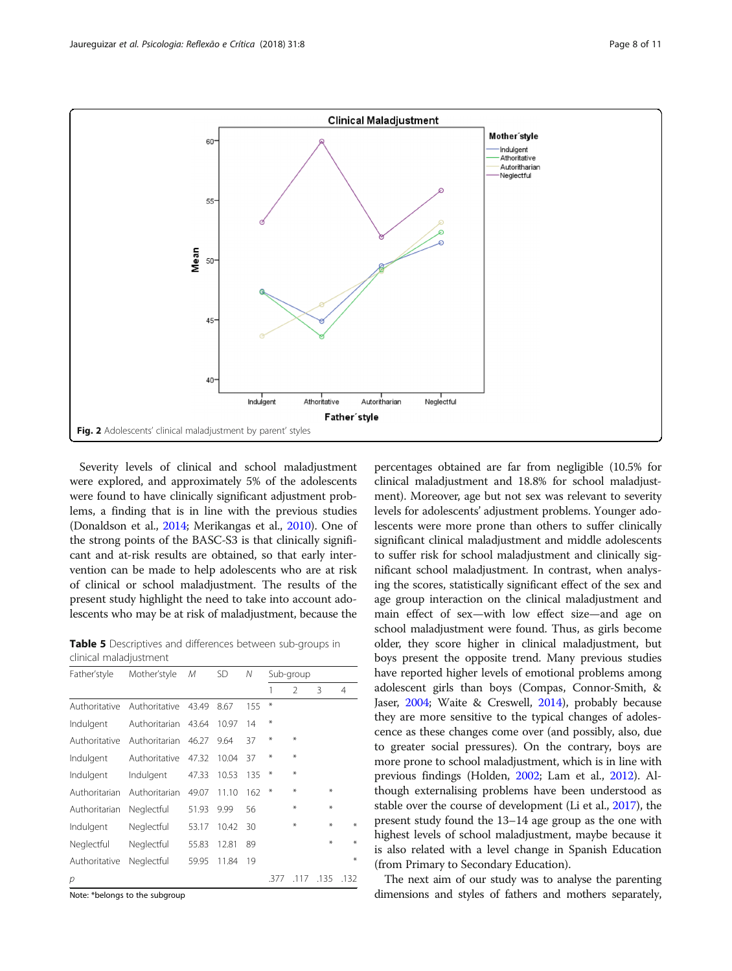<span id="page-7-0"></span>

Severity levels of clinical and school maladjustment were explored, and approximately 5% of the adolescents were found to have clinically significant adjustment problems, a finding that is in line with the previous studies (Donaldson et al., [2014;](#page-9-0) Merikangas et al., [2010\)](#page-9-0). One of the strong points of the BASC-S3 is that clinically significant and at-risk results are obtained, so that early intervention can be made to help adolescents who are at risk of clinical or school maladjustment. The results of the present study highlight the need to take into account adolescents who may be at risk of maladjustment, because the

Table 5 Descriptives and differences between sub-groups in clinical maladjustment

| Father'style  | Mother'style  | М     | <b>SD</b> | Ν   |        | Sub-group      |      |      |
|---------------|---------------|-------|-----------|-----|--------|----------------|------|------|
|               |               |       |           |     | 1      | $\mathfrak{D}$ | 3    | 4    |
| Authoritative | Authoritative | 43.49 | 8.67      | 155 | $*$    |                |      |      |
| Indulgent     | Authoritarian | 43.64 | 10.97     | 14  | $*$    |                |      |      |
| Authoritative | Authoritarian | 46.27 | 9.64      | 37  | $*$    | ⋇              |      |      |
| Indulgent     | Authoritative | 47.32 | 10.04     | 37  | $*$    | ¥              |      |      |
| Indulgent     | Indulgent     | 47.33 | 10.53     | 135 | $\ast$ | ⋇              |      |      |
| Authoritarian | Authoritarian | 49.07 | 11.10     | 162 | $*$    | ⋇              | $*$  |      |
| Authoritarian | Neglectful    | 51.93 | 9.99      | 56  |        | ⋇              | $*$  |      |
| Indulgent     | Neglectful    | 53.17 | 10.42     | 30  |        | ⋇              | $*$  | ¥    |
| Neglectful    | Neglectful    | 55.83 | 12.81     | 89  |        |                | $*$  | ₩    |
| Authoritative | Neglectful    | 59.95 | 11.84     | 19  |        |                |      | ₩    |
| р             |               |       |           |     | .377   | .117           | .135 | .132 |

Note: \*belongs to the subgroup

percentages obtained are far from negligible (10.5% for clinical maladjustment and 18.8% for school maladjustment). Moreover, age but not sex was relevant to severity levels for adolescents' adjustment problems. Younger adolescents were more prone than others to suffer clinically significant clinical maladjustment and middle adolescents to suffer risk for school maladjustment and clinically significant school maladjustment. In contrast, when analysing the scores, statistically significant effect of the sex and age group interaction on the clinical maladjustment and main effect of sex—with low effect size—and age on school maladjustment were found. Thus, as girls become older, they score higher in clinical maladjustment, but boys present the opposite trend. Many previous studies have reported higher levels of emotional problems among adolescent girls than boys (Compas, Connor-Smith, & Jaser, [2004](#page-9-0); Waite & Creswell, [2014](#page-10-0)), probably because they are more sensitive to the typical changes of adolescence as these changes come over (and possibly, also, due to greater social pressures). On the contrary, boys are more prone to school maladjustment, which is in line with previous findings (Holden, [2002;](#page-9-0) Lam et al., [2012\)](#page-9-0). Although externalising problems have been understood as stable over the course of development (Li et al., [2017\)](#page-9-0), the present study found the 13–14 age group as the one with highest levels of school maladjustment, maybe because it is also related with a level change in Spanish Education (from Primary to Secondary Education).

The next aim of our study was to analyse the parenting dimensions and styles of fathers and mothers separately,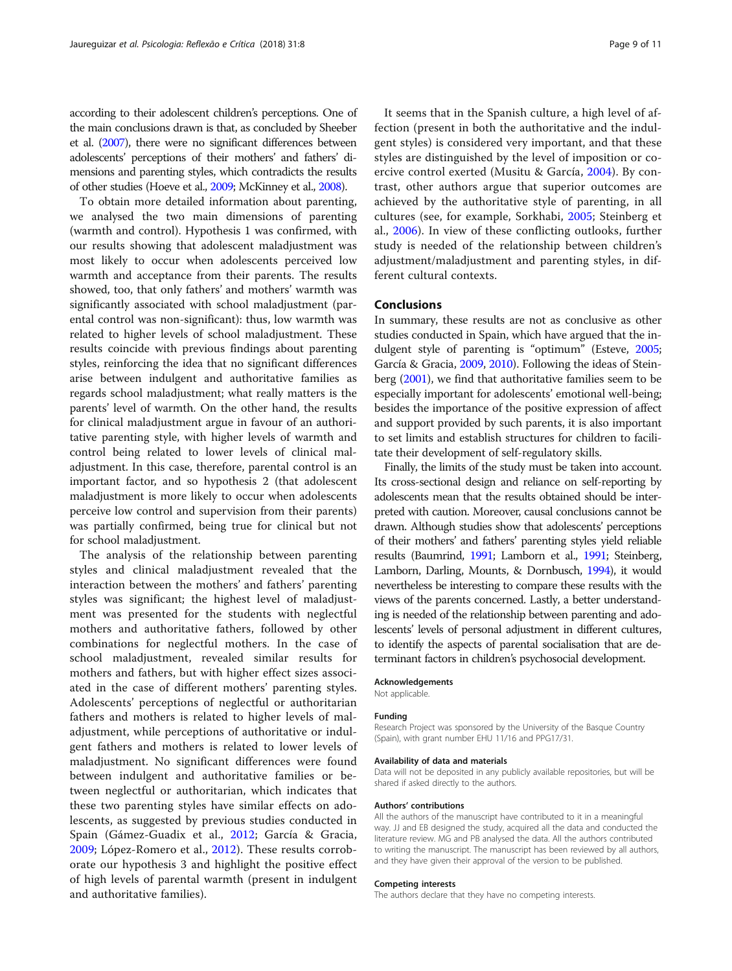according to their adolescent children's perceptions. One of the main conclusions drawn is that, as concluded by Sheeber et al. [\(2007\)](#page-10-0), there were no significant differences between adolescents' perceptions of their mothers' and fathers' dimensions and parenting styles, which contradicts the results of other studies (Hoeve et al., [2009;](#page-9-0) McKinney et al., [2008\)](#page-9-0).

To obtain more detailed information about parenting, we analysed the two main dimensions of parenting (warmth and control). Hypothesis 1 was confirmed, with our results showing that adolescent maladjustment was most likely to occur when adolescents perceived low warmth and acceptance from their parents. The results showed, too, that only fathers' and mothers' warmth was significantly associated with school maladjustment (parental control was non-significant): thus, low warmth was related to higher levels of school maladjustment. These results coincide with previous findings about parenting styles, reinforcing the idea that no significant differences arise between indulgent and authoritative families as regards school maladjustment; what really matters is the parents' level of warmth. On the other hand, the results for clinical maladjustment argue in favour of an authoritative parenting style, with higher levels of warmth and control being related to lower levels of clinical maladjustment. In this case, therefore, parental control is an important factor, and so hypothesis 2 (that adolescent maladjustment is more likely to occur when adolescents perceive low control and supervision from their parents) was partially confirmed, being true for clinical but not for school maladjustment.

The analysis of the relationship between parenting styles and clinical maladjustment revealed that the interaction between the mothers' and fathers' parenting styles was significant; the highest level of maladjustment was presented for the students with neglectful mothers and authoritative fathers, followed by other combinations for neglectful mothers. In the case of school maladjustment, revealed similar results for mothers and fathers, but with higher effect sizes associated in the case of different mothers' parenting styles. Adolescents' perceptions of neglectful or authoritarian fathers and mothers is related to higher levels of maladjustment, while perceptions of authoritative or indulgent fathers and mothers is related to lower levels of maladjustment. No significant differences were found between indulgent and authoritative families or between neglectful or authoritarian, which indicates that these two parenting styles have similar effects on adolescents, as suggested by previous studies conducted in Spain (Gámez-Guadix et al., [2012](#page-9-0); García & Gracia, [2009;](#page-9-0) López-Romero et al., [2012](#page-9-0)). These results corroborate our hypothesis 3 and highlight the positive effect of high levels of parental warmth (present in indulgent and authoritative families).

It seems that in the Spanish culture, a high level of affection (present in both the authoritative and the indulgent styles) is considered very important, and that these styles are distinguished by the level of imposition or coercive control exerted (Musitu & García, [2004\)](#page-10-0). By contrast, other authors argue that superior outcomes are achieved by the authoritative style of parenting, in all cultures (see, for example, Sorkhabi, [2005](#page-10-0); Steinberg et al., [2006\)](#page-10-0). In view of these conflicting outlooks, further study is needed of the relationship between children's adjustment/maladjustment and parenting styles, in different cultural contexts.

# Conclusions

In summary, these results are not as conclusive as other studies conducted in Spain, which have argued that the indulgent style of parenting is "optimum" (Esteve, [2005](#page-9-0); García & Gracia, [2009](#page-9-0), [2010](#page-9-0)). Following the ideas of Steinberg [\(2001\)](#page-10-0), we find that authoritative families seem to be especially important for adolescents' emotional well-being; besides the importance of the positive expression of affect and support provided by such parents, it is also important to set limits and establish structures for children to facilitate their development of self-regulatory skills.

Finally, the limits of the study must be taken into account. Its cross-sectional design and reliance on self-reporting by adolescents mean that the results obtained should be interpreted with caution. Moreover, causal conclusions cannot be drawn. Although studies show that adolescents' perceptions of their mothers' and fathers' parenting styles yield reliable results (Baumrind, [1991](#page-9-0); Lamborn et al., [1991](#page-9-0); Steinberg, Lamborn, Darling, Mounts, & Dornbusch, [1994](#page-10-0)), it would nevertheless be interesting to compare these results with the views of the parents concerned. Lastly, a better understanding is needed of the relationship between parenting and adolescents' levels of personal adjustment in different cultures, to identify the aspects of parental socialisation that are determinant factors in children's psychosocial development.

#### Acknowledgements

Not applicable.

#### Funding

Research Project was sponsored by the University of the Basque Country (Spain), with grant number EHU 11/16 and PPG17/31.

#### Availability of data and materials

Data will not be deposited in any publicly available repositories, but will be shared if asked directly to the authors.

#### Authors' contributions

All the authors of the manuscript have contributed to it in a meaningful way. JJ and EB designed the study, acquired all the data and conducted the literature review. MG and PB analysed the data. All the authors contributed to writing the manuscript. The manuscript has been reviewed by all authors, and they have given their approval of the version to be published.

#### Competing interests

The authors declare that they have no competing interests.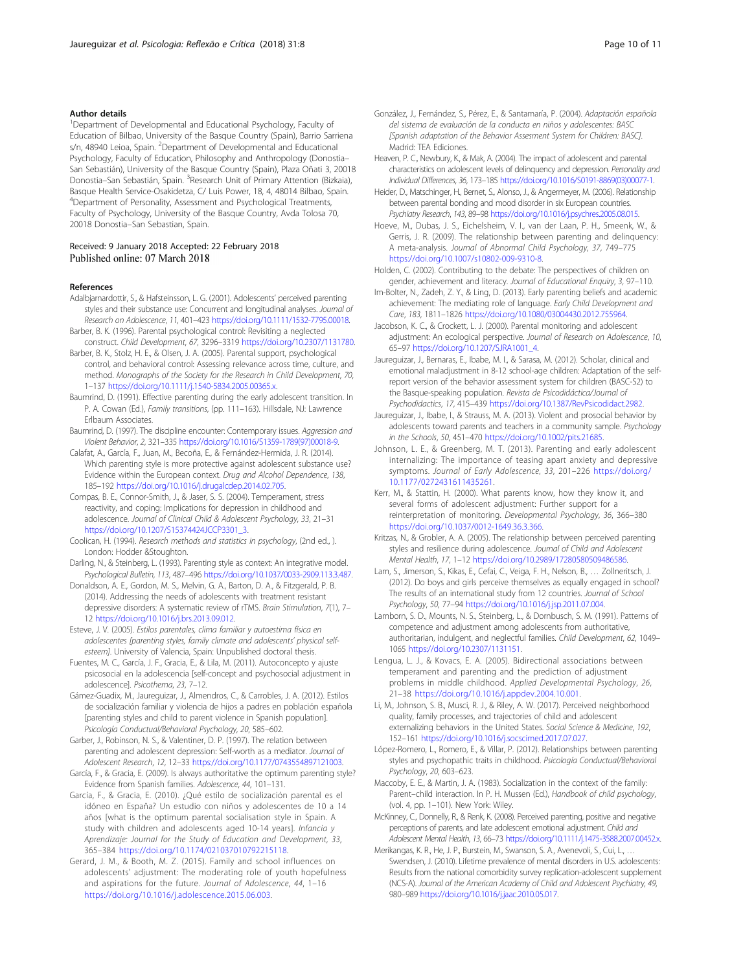#### <span id="page-9-0"></span>Author details

<sup>1</sup>Department of Developmental and Educational Psychology, Faculty of Education of Bilbao, University of the Basque Country (Spain), Barrio Sarriena s/n, 48940 Leioa, Spain. <sup>2</sup>Department of Developmental and Educational Psychology, Faculty of Education, Philosophy and Anthropology (Donostia– San Sebastián), University of the Basque Country (Spain), Plaza Oñati 3, 20018 Donostia–San Sebastián, Spain. <sup>3</sup>Research Unit of Primary Attention (Bizkaia), Basque Health Service-Osakidetza, C/ Luis Power, 18, 4, 48014 Bilbao, Spain. <sup>4</sup>Department of Personality, Assessment and Psychological Treatments, Faculty of Psychology, University of the Basque Country, Avda Tolosa 70, 20018 Donostia–San Sebastian, Spain.

#### Received: 9 January 2018 Accepted: 22 February 2018 Published online: 07 March 2018

#### References

- Adalbjarnardottir, S., & Hafsteinsson, L. G. (2001). Adolescents' perceived parenting styles and their substance use: Concurrent and longitudinal analyses. Journal of Research on Adolescence, 11, 401–423 [https://doi.org/10.1111/1532-7795.00018.](https://doi.org/10.1111/1532-7795.00018)
- Barber, B. K. (1996). Parental psychological control: Revisiting a neglected construct. Child Development, 67, 3296–3319 [https://doi.org/10.2307/1131780.](https://doi.org/10.2307/1131780)
- Barber, B. K., Stolz, H. E., & Olsen, J. A. (2005). Parental support, psychological control, and behavioral control: Assessing relevance across time, culture, and method. Monographs of the Society for the Research in Child Development, 70, 1–137 [https://doi.org/10.1111/j.1540-5834.2005.00365.x.](https://doi.org/10.1111/j.1540-5834.2005.00365.x)

Baumrind, D. (1991). Effective parenting during the early adolescent transition. In P. A. Cowan (Ed.), Family transitions, (pp. 111–163). Hillsdale, NJ: Lawrence Erlbaum Associates.

Baumrind, D. (1997). The discipline encounter: Contemporary issues. Aggression and Violent Behavior, 2, 321–335 [https://doi.org/10.1016/S1359-1789\(97\)00018-9.](https://doi.org/10.1016/S1359-1789(97)00018-9)

Calafat, A., García, F., Juan, M., Becoña, E., & Fernández-Hermida, J. R. (2014). Which parenting style is more protective against adolescent substance use? Evidence within the European context. Drug and Alcohol Dependence, 138, 185–192 <https://doi.org/10.1016/j.drugalcdep.2014.02.705>.

- Compas, B. E., Connor-Smith, J., & Jaser, S. S. (2004). Temperament, stress reactivity, and coping: Implications for depression in childhood and adolescence. Journal of Clinical Child & Adolescent Psychology, 33, 21–31 [https://doi.org/10.1207/S15374424JCCP3301\\_3](https://doi.org/10.1207/S15374424JCCP3301_3).
- Coolican, H. (1994). Research methods and statistics in psychology, (2nd ed., ). London: Hodder &Stoughton.
- Darling, N., & Steinberg, L. (1993). Parenting style as context: An integrative model. Psychological Bulletin, 113, 487–496 <https://doi.org/10.1037/0033-2909.113.3.487>.
- Donaldson, A. E., Gordon, M. S., Melvin, G. A., Barton, D. A., & Fitzgerald, P. B. (2014). Addressing the needs of adolescents with treatment resistant depressive disorders: A systematic review of rTMS. Brain Stimulation, 7(1), 7– 12 <https://doi.org/10.1016/j.brs.2013.09.012>.
- Esteve, J. V. (2005). Estilos parentales, clima familiar y autoestima física en adolescentes [parenting styles, family climate and adolescents' physical selfesteem]. University of Valencia, Spain: Unpublished doctoral thesis.
- Fuentes, M. C., García, J. F., Gracia, E., & Lila, M. (2011). Autoconcepto y ajuste psicosocial en la adolescencia [self-concept and psychosocial adjustment in adolescence]. Psicothema, 23, 7–12.
- Gámez-Guadix, M., Jaureguizar, J., Almendros, C., & Carrobles, J. A. (2012). Estilos de socialización familiar y violencia de hijos a padres en población española [parenting styles and child to parent violence in Spanish population]. Psicología Conductual/Behavioral Psychology, 20, 585–602.

Garber, J., Robinson, N. S., & Valentiner, D. P. (1997). The relation between parenting and adolescent depression: Self-worth as a mediator. Journal of Adolescent Research, 12, 12–33 <https://doi.org/10.1177/0743554897121003>.

- García, F., & Gracia, E. (2009). Is always authoritative the optimum parenting style? Evidence from Spanish families. Adolescence, 44, 101–131.
- García, F., & Gracia, E. (2010). ¿Qué estilo de socialización parental es el idóneo en España? Un estudio con niños y adolescentes de 10 a 14 años [what is the optimum parental socialisation style in Spain. A study with children and adolescents aged 10-14 years]. Infancia y Aprendizaje: Journal for the Study of Education and Development, 33, 365–384 [https://doi.org/10.1174/021037010792215118.](https://doi.org/10.1174/021037010792215118)
- Gerard, J. M., & Booth, M. Z. (2015). Family and school influences on adolescents' adjustment: The moderating role of youth hopefulness and aspirations for the future. Journal of Adolescence, 44, 1–16 <https://doi.org/10.1016/j.adolescence.2015.06.003>.
- González, J., Fernández, S., Pérez, E., & Santamaría, P. (2004). Adaptación española del sistema de evaluación de la conducta en niños y adolescentes: BASC [Spanish adaptation of the Behavior Assesment System for Children: BASC]. Madrid: TEA Ediciones.
- Heaven, P. C., Newbury, K., & Mak, A. (2004). The impact of adolescent and parental characteristics on adolescent levels of delinquency and depression. Personality and Individual Differences, 36, 173–185 [https://doi.org/10.1016/S0191-8869\(03\)00077-1](https://doi.org/10.1016/S0191-8869(03)00077-1).
- Heider, D., Matschinger, H., Bernet, S., Alonso, J., & Angermeyer, M. (2006). Relationship between parental bonding and mood disorder in six European countries. Psychiatry Research, 143, 89–98 <https://doi.org/10.1016/j.psychres.2005.08.015>.
- Hoeve, M., Dubas, J. S., Eichelsheim, V. I., van der Laan, P. H., Smeenk, W., & Gerris, J. R. (2009). The relationship between parenting and delinquency: A meta-analysis. Journal of Abnormal Child Psychology, 37, 749–775 [https://doi.org/10.1007/s10802-009-9310-8.](https://doi.org/10.1007/s10802-009-9310-8)
- Holden, C. (2002). Contributing to the debate: The perspectives of children on gender, achievement and literacy. Journal of Educational Enquiry, 3, 97–110.
- Im-Bolter, N., Zadeh, Z. Y., & Ling, D. (2013). Early parenting beliefs and academic achievement: The mediating role of language. Early Child Development and Care, 183, 1811–1826 <https://doi.org/10.1080/03004430.2012.755964>.
- Jacobson, K. C., & Crockett, L. J. (2000). Parental monitoring and adolescent adjustment: An ecological perspective. Journal of Research on Adolescence, 10, 65–97 [https://doi.org/10.1207/SJRA1001\\_4](https://doi.org/10.1207/SJRA1001_4).
- Jaureguizar, J., Bernaras, E., Ibabe, M. I., & Sarasa, M. (2012). Scholar, clinical and emotional maladjustment in 8-12 school-age children: Adaptation of the selfreport version of the behavior assessment system for children (BASC-S2) to the Basque-speaking population. Revista de Psicodidáctica/Journal of Psychodidactics, 17, 415–439 [https://doi.org/10.1387/RevPsicodidact.2982.](https://doi.org/10.1387/RevPsicodidact.2982)
- Jaureguizar, J., Ibabe, I., & Strauss, M. A. (2013). Violent and prosocial behavior by adolescents toward parents and teachers in a community sample. Psychology in the Schools, 50, 451–470 <https://doi.org/10.1002/pits.21685>.
- Johnson, L. E., & Greenberg, M. T. (2013). Parenting and early adolescent internalizing: The importance of teasing apart anxiety and depressive symptoms. Journal of Early Adolescence, 33, 201–226 [https://doi.org/](https://doi.org/10.1177/0272431611435261) [10.1177/0272431611435261](https://doi.org/10.1177/0272431611435261).
- Kerr, M., & Stattin, H. (2000). What parents know, how they know it, and several forms of adolescent adjustment: Further support for a reinterpretation of monitoring. Developmental Psychology, 36, 366–380 <https://doi.org/10.1037/0012-1649.36.3.366>.
- Kritzas, N., & Grobler, A. A. (2005). The relationship between perceived parenting styles and resilience during adolescence. Journal of Child and Adolescent Mental Health, 17, 1–12 <https://doi.org/10.2989/17280580509486586>.
- Lam, S., Jimerson, S., Kikas, E., Cefai, C., Veiga, F. H., Nelson, B., … Zollneritsch, J. (2012). Do boys and girls perceive themselves as equally engaged in school? The results of an international study from 12 countries. Journal of School Psychology, 50, 77–94 <https://doi.org/10.1016/j.jsp.2011.07.004>.
- Lamborn, S. D., Mounts, N. S., Steinberg, L., & Dornbusch, S. M. (1991). Patterns of competence and adjustment among adolescents from authoritative, authoritarian, indulgent, and neglectful families. Child Development, 62, 1049– 1065 [https://doi.org/10.2307/1131151.](https://doi.org/10.2307/1131151)
- Lengua, L. J., & Kovacs, E. A. (2005). Bidirectional associations between temperament and parenting and the prediction of adjustment problems in middle childhood. Applied Developmental Psychology, 26, 21–38 [https://doi.org/10.1016/j.appdev.2004.10.001.](https://doi.org/10.1016/j.appdev.2004.10.001)
- Li, M., Johnson, S. B., Musci, R. J., & Riley, A. W. (2017). Perceived neighborhood quality, family processes, and trajectories of child and adolescent externalizing behaviors in the United States. Social Science & Medicine, 192, 152–161 [https://doi.org/10.1016/j.socscimed.2017.07.027.](https://doi.org/10.1016/j.socscimed.2017.07.027)
- López-Romero, L., Romero, E., & Villar, P. (2012). Relationships between parenting styles and psychopathic traits in childhood. Psicología Conductual/Behavioral Psychology, 20, 603–623.
- Maccoby, E. E., & Martin, J. A. (1983). Socialization in the context of the family: Parent–child interaction. In P. H. Mussen (Ed.), Handbook of child psychology, (vol. 4, pp. 1–101). New York: Wiley.
- McKinney, C., Donnelly, R., & Renk, K. (2008). Perceived parenting, positive and negative perceptions of parents, and late adolescent emotional adjustment. Child and Adolescent Mental Health, 13, 66–73 <https://doi.org/10.1111/j.1475-3588.2007.00452.x>.
- Merikangas, K. R., He, J. P., Burstein, M., Swanson, S. A., Avenevoli, S., Cui, L., … Swendsen, J. (2010). Lifetime prevalence of mental disorders in U.S. adolescents: Results from the national comorbidity survey replication-adolescent supplement (NCS-A). Journal of the American Academy of Child and Adolescent Psychiatry, 49, 980–989 <https://doi.org/10.1016/j.jaac.2010.05.017>.